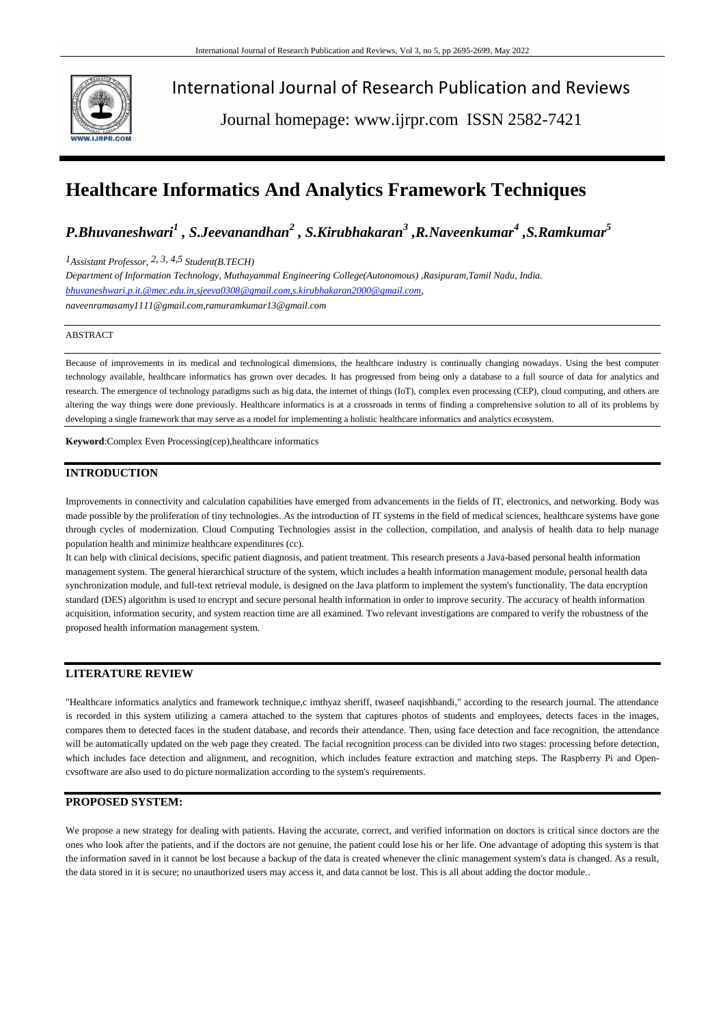

International Journal of Research Publication and Reviews

Journal homepage: www.ijrpr.com ISSN 2582-7421

# **Healthcare Informatics And Analytics Framework Techniques**

*P.Bhuvaneshwari<sup>1</sup> , S.Jeevanandhan<sup>2</sup> , S.Kirubhakaran<sup>3</sup> ,R.Naveenkumar<sup>4</sup> ,S.Ramkumar<sup>5</sup>*

*1Assistant Professor, 2, 3, 4,5 Student(B.TECH)*

*Department of Information Technology, Muthayammal Engineering College(Autonomous) ,Rasipuram,Tamil Nadu, India. [bhuvaneshwari.p.it.@mec.edu.in,sjeeva0308@gmail.com,s.kirubhakaran2000@gmail.com,](mailto:bhuvaneshwari.p.it.@mec.edu.in,sjeeva0308@gmail.com,s.kirubhakaran2000@gmail.com) naveenramasamy1111@gmail.com,ramuramkumar13@gmail.com*

#### ABSTRACT

Because of improvements in its medical and technological dimensions, the healthcare industry is continually changing nowadays. Using the best computer technology available, healthcare informatics has grown over decades. It has progressed from being only a database to a full source of data for analytics and research. The emergence of technology paradigms such as big data, the internet of things (IoT), complex even processing (CEP), cloud computing, and others are altering the way things were done previously. Healthcare informatics is at a crossroads in terms of finding a comprehensive solution to all of its problems by developing a single framework that may serve as a model for implementing a holistic healthcare informatics and analytics ecosystem.

**Keyword**:Complex Even Processing(cep),healthcare informatics

#### **INTRODUCTION**

Improvements in connectivity and calculation capabilities have emerged from advancements in the fields of IT, electronics, and networking. Body was made possible by the proliferation of tiny technologies. As the introduction of IT systems in the field of medical sciences, healthcare systems have gone through cycles of modernization. Cloud Computing Technologies assist in the collection, compilation, and analysis of health data to help manage population health and minimize healthcare expenditures (cc).

It can help with clinical decisions, specific patient diagnosis, and patient treatment. This research presents a Java-based personal health information management system. The general hierarchical structure of the system, which includes a health information management module, personal health data synchronization module, and full-text retrieval module, is designed on the Java platform to implement the system's functionality. The data encryption standard (DES) algorithm is used to encrypt and secure personal health information in order to improve security. The accuracy of health information acquisition, information security, and system reaction time are all examined. Two relevant investigations are compared to verify the robustness of the proposed health information management system.

#### **LITERATURE REVIEW**

"Healthcare informatics analytics and framework technique,c imthyaz sheriff, twaseef naqishbandi," according to the research journal. The attendance is recorded in this system utilizing a camera attached to the system that captures photos of students and employees, detects faces in the images, compares them to detected faces in the student database, and records their attendance. Then, using face detection and face recognition, the attendance will be automatically updated on the web page they created. The facial recognition process can be divided into two stages: processing before detection, which includes face detection and alignment, and recognition, which includes feature extraction and matching steps. The Raspberry Pi and Opencvsoftware are also used to do picture normalization according to the system's requirements.

#### **PROPOSED SYSTEM:**

We propose a new strategy for dealing with patients. Having the accurate, correct, and verified information on doctors is critical since doctors are the ones who look after the patients, and if the doctors are not genuine, the patient could lose his or her life. One advantage of adopting this system is that the information saved in it cannot be lost because a backup of the data is created whenever the clinic management system's data is changed. As a result, the data stored in it is secure; no unauthorized users may access it, and data cannot be lost. This is all about adding the doctor module..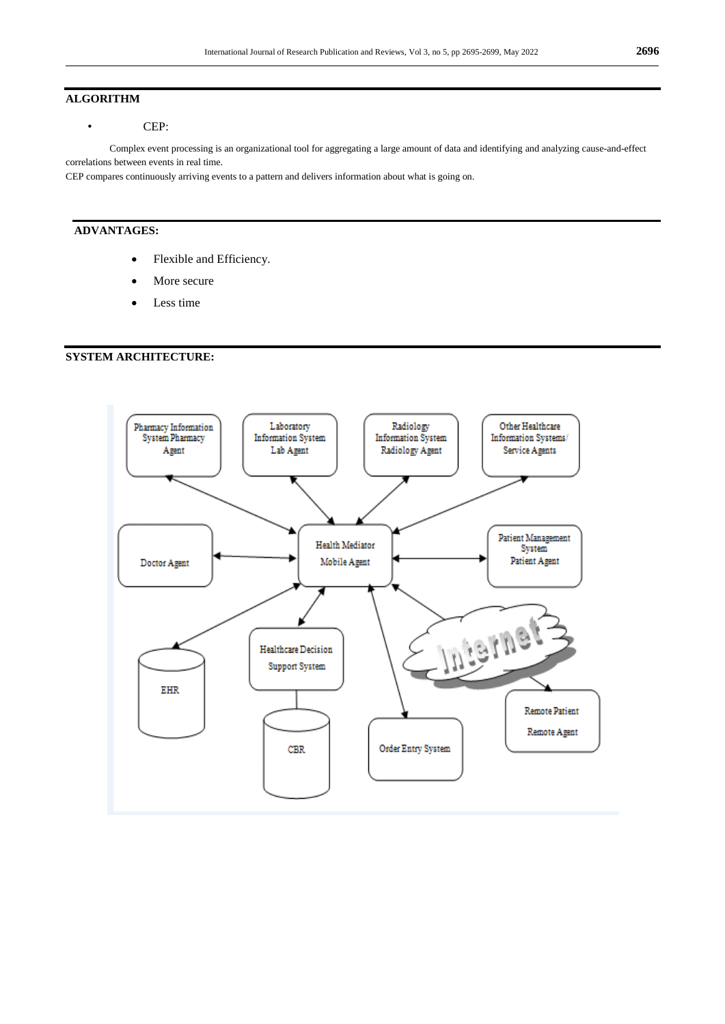#### **ALGORITHM**

## • CEP:

Complex event processing is an organizational tool for aggregating a large amount of data and identifying and analyzing cause-and-effect correlations between events in real time.

CEP compares continuously arriving events to a pattern and delivers information about what is going on.

## **ADVANTAGES:**

- Flexible and Efficiency.
- More secure
- Less time

## **SYSTEM ARCHITECTURE:**

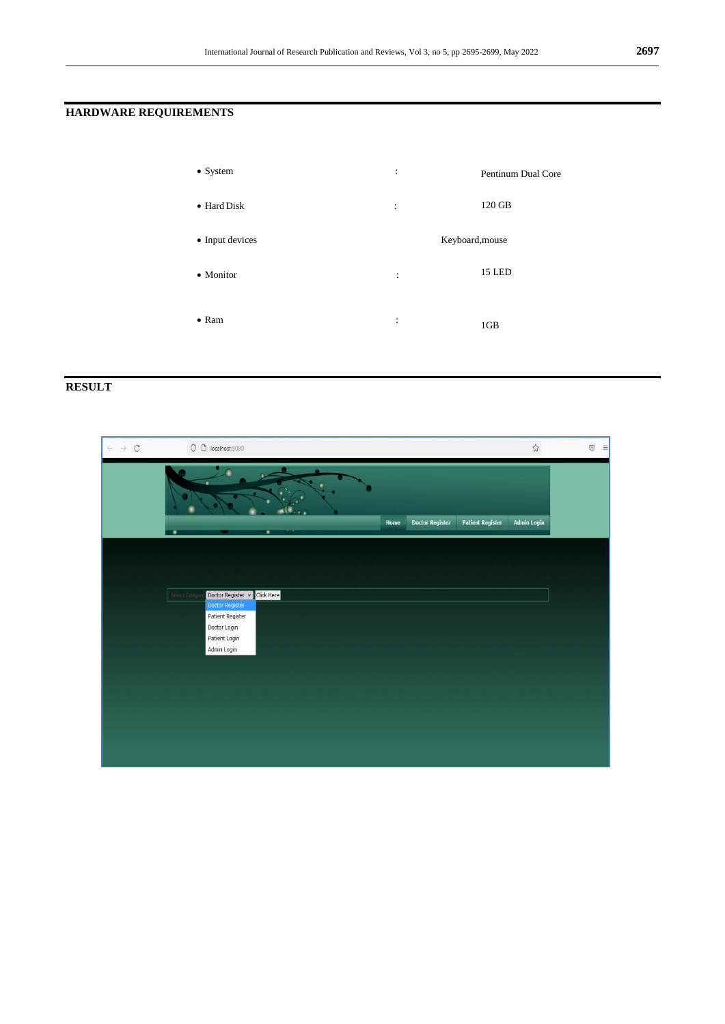## **HARDWARE REQUIREMENTS**

| $\bullet$ System    | :                    | Pentinum Dual Core |
|---------------------|----------------------|--------------------|
| $\bullet$ Hard Disk | :                    | 120 GB             |
| • Input devices     |                      | Keyboard, mouse    |
| • Monitor           | $\ddot{\phantom{a}}$ | 15 LED             |
|                     |                      |                    |
| $\bullet$ Ram       | $\ddot{\cdot}$       | 1GB                |

# **RESULT**

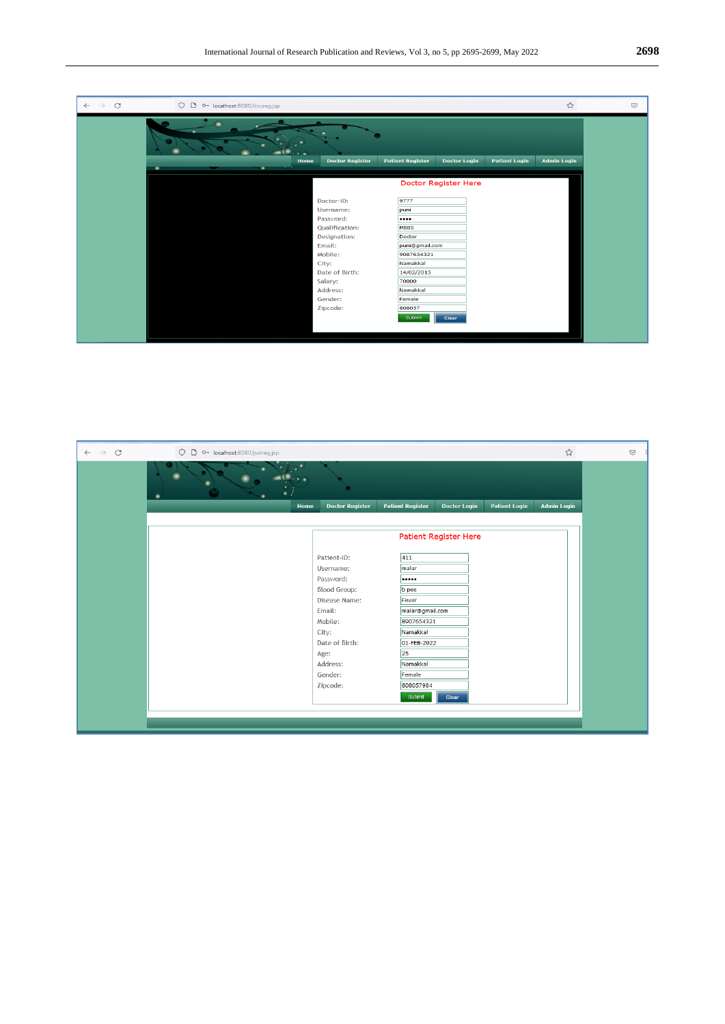| $\circ$<br>$\rightarrow$<br>$\leftarrow$ | O D or localhost:8080/docreg.jsp |                        |                         |                      |                      | ☆                  | $\odot$ |
|------------------------------------------|----------------------------------|------------------------|-------------------------|----------------------|----------------------|--------------------|---------|
|                                          |                                  |                        |                         |                      |                      |                    |         |
|                                          | Home                             | <b>Doctor Register</b> | <b>Patient Register</b> | <b>Doctor Login</b>  | <b>Patient Login</b> | <b>Admin Login</b> |         |
|                                          | ٠                                |                        |                         |                      |                      |                    |         |
|                                          |                                  |                        |                         | Doctor Register Here |                      |                    |         |
|                                          |                                  | Doctor-ID:             | 9777                    |                      |                      |                    |         |
|                                          |                                  | Username:              | puni                    |                      |                      |                    |         |
|                                          |                                  | Password:              | $\cdots$                |                      |                      |                    |         |
|                                          |                                  | Qualification:         | <b>MBBS</b>             |                      |                      |                    |         |
|                                          |                                  | Designation:           | Doctor                  |                      |                      |                    |         |
|                                          |                                  | Email:                 | puni@gmail.com          |                      |                      |                    |         |
|                                          |                                  | Mobile:                | 9087654321              |                      |                      |                    |         |
|                                          |                                  | City:                  | Namakkal                |                      |                      |                    |         |
|                                          |                                  | Date of Birth:         | 14/02/2015              |                      |                      |                    |         |
|                                          |                                  | Salary:                | 70000                   |                      |                      |                    |         |
|                                          |                                  | Address:               | Namakkal                |                      |                      |                    |         |
|                                          |                                  | Gender:                | Female                  |                      |                      |                    |         |
|                                          |                                  | Zipcode:               | 808057                  |                      |                      |                    |         |
|                                          |                                  |                        | Submit                  | Clear                |                      |                    |         |
|                                          |                                  |                        |                         |                      |                      |                    |         |
|                                          |                                  |                        |                         |                      |                      |                    |         |

| $\leftarrow$ $\rightarrow$ C | O D OT localhost:8080/patreg.jsp |                              |                         |                     |                      | ☆                  | $\odot$ |
|------------------------------|----------------------------------|------------------------------|-------------------------|---------------------|----------------------|--------------------|---------|
|                              |                                  | ۰                            |                         |                     |                      |                    |         |
|                              | Home                             | <b>Doctor Register</b>       | <b>Patient Register</b> | <b>Doctor Login</b> | <b>Patient Login</b> | <b>Admin Login</b> |         |
|                              |                                  |                              |                         |                     |                      |                    |         |
|                              |                                  | <b>Patient Register Here</b> |                         |                     |                      |                    |         |
|                              |                                  | Patient-ID:                  | 411                     |                     |                      |                    |         |
|                              |                                  | Username:                    | malar                   |                     |                      |                    |         |
|                              |                                  | Password:                    |                         |                     |                      |                    |         |
|                              |                                  | <b>Blood Group:</b>          | b pos                   |                     |                      |                    |         |
|                              |                                  | Disease Name:                | Fever                   |                     |                      |                    |         |
|                              |                                  | Email:                       | malar@gmail.com         |                     |                      |                    |         |
|                              |                                  | Mobile:                      | 8907654321              |                     |                      |                    |         |
|                              |                                  | City:                        | Namakkal                |                     |                      |                    |         |
|                              |                                  | Date of Birth:               | 01-FEB-2022             |                     |                      |                    |         |
|                              |                                  | Age:                         | 25                      |                     |                      |                    |         |
|                              |                                  | Address:                     | Namakkal                |                     |                      |                    |         |
|                              |                                  | Gender:                      | Female                  |                     |                      |                    |         |
|                              |                                  | Zipcode:                     | 808057984               |                     |                      |                    |         |
|                              |                                  |                              | Submit                  | Clear               |                      |                    |         |
|                              |                                  |                              |                         |                     |                      |                    |         |
|                              |                                  |                              |                         |                     |                      |                    |         |
|                              |                                  |                              |                         |                     |                      |                    |         |